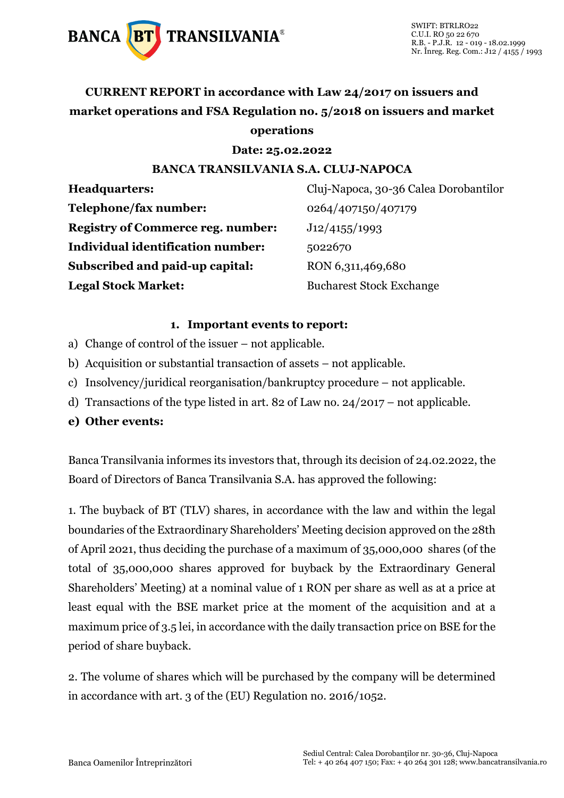

### **CURRENT REPORT in accordance with Law 24/2017 on issuers and market operations and FSA Regulation no. 5/2018 on issuers and market operations**

**Date: 25.02.2022**

#### **BANCA TRANSILVANIA S.A. CLUJ-NAPOCA**

**Headquarters:** Cluj-Napoca, 30-36 Calea Dorobantilor **Telephone/fax number:** 0264/407150/407179 **Registry of Commerce reg. number:** J12/4155/1993 **Individual identification number:** 5022670 **Subscribed and paid-up capital:** RON 6,311,469,680 **Legal Stock Market:** Bucharest Stock Exchange

#### **1. Important events to report:**

- a) Change of control of the issuer not applicable.
- b) Acquisition or substantial transaction of assets not applicable.
- c) Insolvency/juridical reorganisation/bankruptcy procedure not applicable.
- d) Transactions of the type listed in art. 82 of Law no. 24/2017 not applicable.

#### **e) Other events:**

Banca Transilvania informes its investors that, through its decision of 24.02.2022, the Board of Directors of Banca Transilvania S.A. has approved the following:

1. The buyback of BT (TLV) shares, in accordance with the law and within the legal boundaries of the Extraordinary Shareholders' Meeting decision approved on the 28th of April 2021, thus deciding the purchase of a maximum of 35,000,000 shares (of the total of 35,000,000 shares approved for buyback by the Extraordinary General Shareholders' Meeting) at a nominal value of 1 RON per share as well as at a price at least equal with the BSE market price at the moment of the acquisition and at a maximum price of 3.5 lei, in accordance with the daily transaction price on BSE for the period of share buyback.

2. The volume of shares which will be purchased by the company will be determined in accordance with art. 3 of the (EU) Regulation no. 2016/1052.